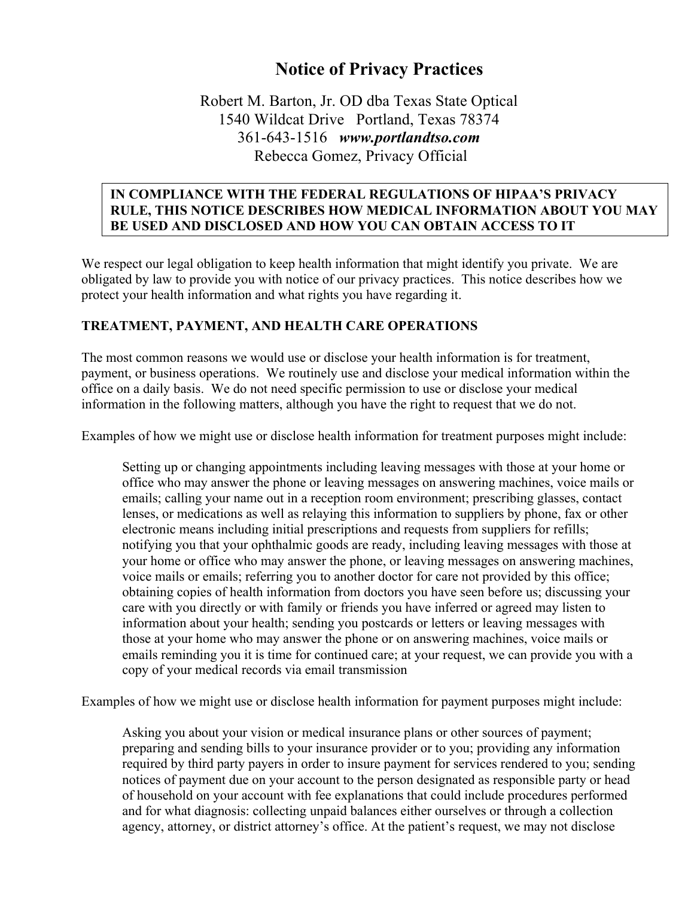# **Notice of Privacy Practices**

# Robert M. Barton, Jr. OD dba Texas State Optical 1540 Wildcat Drive Portland, Texas 78374 361-643-1516 *www.portlandtso.com* Rebecca Gomez, Privacy Official

#### **IN COMPLIANCE WITH THE FEDERAL REGULATIONS OF HIPAA'S PRIVACY RULE, THIS NOTICE DESCRIBES HOW MEDICAL INFORMATION ABOUT YOU MAY BE USED AND DISCLOSED AND HOW YOU CAN OBTAIN ACCESS TO IT**

We respect our legal obligation to keep health information that might identify you private. We are obligated by law to provide you with notice of our privacy practices. This notice describes how we protect your health information and what rights you have regarding it.

## **TREATMENT, PAYMENT, AND HEALTH CARE OPERATIONS**

**iTINFORMATION. PLEASE REVIEW IT CAREFULLY AND INTERFERIENCE** 

The most common reasons we would use or disclose your health information is for treatment, payment, or business operations. We routinely use and disclose your medical information within the office on a daily basis. We do not need specific permission to use or disclose your medical information in the following matters, although you have the right to request that we do not.

Examples of how we might use or disclose health information for treatment purposes might include:

Setting up or changing appointments including leaving messages with those at your home or office who may answer the phone or leaving messages on answering machines, voice mails or emails; calling your name out in a reception room environment; prescribing glasses, contact lenses, or medications as well as relaying this information to suppliers by phone, fax or other electronic means including initial prescriptions and requests from suppliers for refills; notifying you that your ophthalmic goods are ready, including leaving messages with those at your home or office who may answer the phone, or leaving messages on answering machines, voice mails or emails; referring you to another doctor for care not provided by this office; obtaining copies of health information from doctors you have seen before us; discussing your care with you directly or with family or friends you have inferred or agreed may listen to information about your health; sending you postcards or letters or leaving messages with those at your home who may answer the phone or on answering machines, voice mails or emails reminding you it is time for continued care; at your request, we can provide you with a copy of your medical records via email transmission

Examples of how we might use or disclose health information for payment purposes might include:

Asking you about your vision or medical insurance plans or other sources of payment; preparing and sending bills to your insurance provider or to you; providing any information required by third party payers in order to insure payment for services rendered to you; sending notices of payment due on your account to the person designated as responsible party or head of household on your account with fee explanations that could include procedures performed and for what diagnosis: collecting unpaid balances either ourselves or through a collection agency, attorney, or district attorney's office. At the patient's request, we may not disclose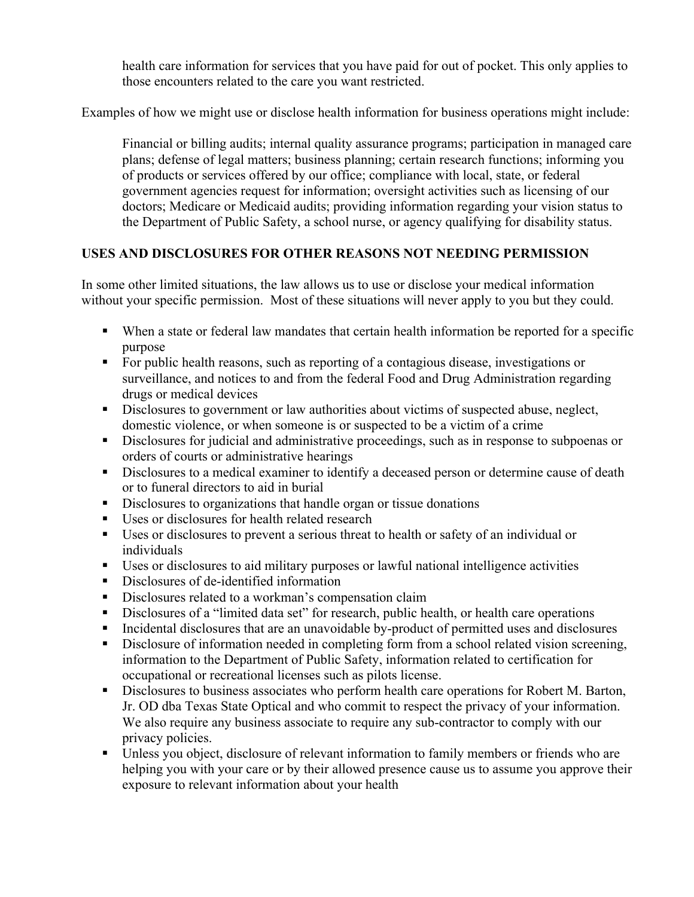health care information for services that you have paid for out of pocket. This only applies to those encounters related to the care you want restricted.

Examples of how we might use or disclose health information for business operations might include:

Financial or billing audits; internal quality assurance programs; participation in managed care plans; defense of legal matters; business planning; certain research functions; informing you of products or services offered by our office; compliance with local, state, or federal government agencies request for information; oversight activities such as licensing of our doctors; Medicare or Medicaid audits; providing information regarding your vision status to the Department of Public Safety, a school nurse, or agency qualifying for disability status.

# **USES AND DISCLOSURES FOR OTHER REASONS NOT NEEDING PERMISSION**

In some other limited situations, the law allows us to use or disclose your medical information without your specific permission. Most of these situations will never apply to you but they could.

- When a state or federal law mandates that certain health information be reported for a specific purpose
- § For public health reasons, such as reporting of a contagious disease, investigations or surveillance, and notices to and from the federal Food and Drug Administration regarding drugs or medical devices
- Disclosures to government or law authorities about victims of suspected abuse, neglect, domestic violence, or when someone is or suspected to be a victim of a crime
- Disclosures for judicial and administrative proceedings, such as in response to subpoenas or orders of courts or administrative hearings
- Disclosures to a medical examiner to identify a deceased person or determine cause of death or to funeral directors to aid in burial
- Disclosures to organizations that handle organ or tissue donations
- Uses or disclosures for health related research
- § Uses or disclosures to prevent a serious threat to health or safety of an individual or individuals
- Uses or disclosures to aid military purposes or lawful national intelligence activities
- Disclosures of de-identified information
- Disclosures related to a workman's compensation claim
- Disclosures of a "limited data set" for research, public health, or health care operations
- § Incidental disclosures that are an unavoidable by-product of permitted uses and disclosures
- Disclosure of information needed in completing form from a school related vision screening, information to the Department of Public Safety, information related to certification for occupational or recreational licenses such as pilots license.
- Disclosures to business associates who perform health care operations for Robert M. Barton, Jr. OD dba Texas State Optical and who commit to respect the privacy of your information. We also require any business associate to require any sub-contractor to comply with our privacy policies.
- Unless you object, disclosure of relevant information to family members or friends who are helping you with your care or by their allowed presence cause us to assume you approve their exposure to relevant information about your health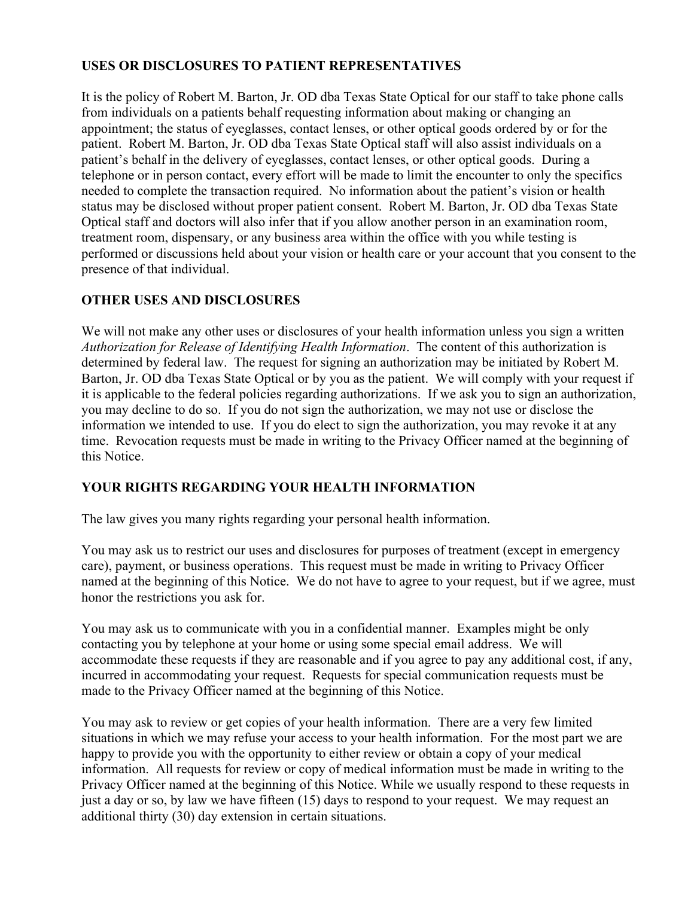# **USES OR DISCLOSURES TO PATIENT REPRESENTATIVES**

It is the policy of Robert M. Barton, Jr. OD dba Texas State Optical for our staff to take phone calls from individuals on a patients behalf requesting information about making or changing an appointment; the status of eyeglasses, contact lenses, or other optical goods ordered by or for the patient. Robert M. Barton, Jr. OD dba Texas State Optical staff will also assist individuals on a patient's behalf in the delivery of eyeglasses, contact lenses, or other optical goods. During a telephone or in person contact, every effort will be made to limit the encounter to only the specifics needed to complete the transaction required. No information about the patient's vision or health status may be disclosed without proper patient consent. Robert M. Barton, Jr. OD dba Texas State Optical staff and doctors will also infer that if you allow another person in an examination room, treatment room, dispensary, or any business area within the office with you while testing is performed or discussions held about your vision or health care or your account that you consent to the presence of that individual.

## **OTHER USES AND DISCLOSURES**

We will not make any other uses or disclosures of your health information unless you sign a written *Authorization for Release of Identifying Health Information*. The content of this authorization is determined by federal law. The request for signing an authorization may be initiated by Robert M. Barton, Jr. OD dba Texas State Optical or by you as the patient. We will comply with your request if it is applicable to the federal policies regarding authorizations. If we ask you to sign an authorization, you may decline to do so. If you do not sign the authorization, we may not use or disclose the information we intended to use. If you do elect to sign the authorization, you may revoke it at any time. Revocation requests must be made in writing to the Privacy Officer named at the beginning of this Notice.

## **YOUR RIGHTS REGARDING YOUR HEALTH INFORMATION**

The law gives you many rights regarding your personal health information.

You may ask us to restrict our uses and disclosures for purposes of treatment (except in emergency care), payment, or business operations. This request must be made in writing to Privacy Officer named at the beginning of this Notice. We do not have to agree to your request, but if we agree, must honor the restrictions you ask for.

You may ask us to communicate with you in a confidential manner. Examples might be only contacting you by telephone at your home or using some special email address. We will accommodate these requests if they are reasonable and if you agree to pay any additional cost, if any, incurred in accommodating your request. Requests for special communication requests must be made to the Privacy Officer named at the beginning of this Notice.

You may ask to review or get copies of your health information. There are a very few limited situations in which we may refuse your access to your health information. For the most part we are happy to provide you with the opportunity to either review or obtain a copy of your medical information. All requests for review or copy of medical information must be made in writing to the Privacy Officer named at the beginning of this Notice. While we usually respond to these requests in just a day or so, by law we have fifteen (15) days to respond to your request. We may request an additional thirty (30) day extension in certain situations.